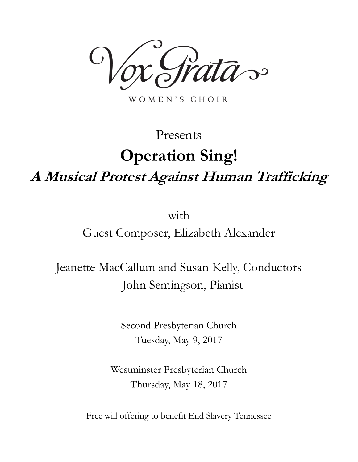$\mathcal{S}$ 

WOMEN'S CHOIR

# Presents **Operation Sing! A Musical Protest Against Human Trafficking**

with

Guest Composer, Elizabeth Alexander

Jeanette MacCallum and Susan Kelly, Conductors John Semingson, Pianist

> Second Presbyterian Church Tuesday, May 9, 2017

Westminster Presbyterian Church Thursday, May 18, 2017

Free will offering to benefit End Slavery Tennessee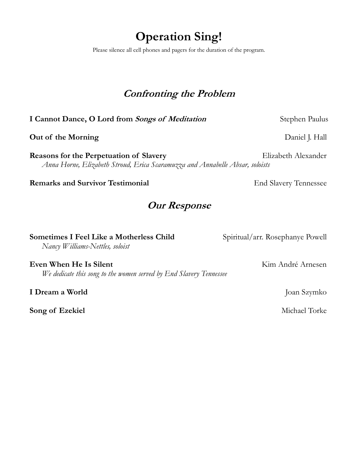## **Operation Sing!**

Please silence all cell phones and pagers for the duration of the program.

## **Confronting the Problem**

**I Cannot Dance, O Lord from Songs of Meditation** Stephen Paulus

**Out of the Morning Course Course 1 and 2 and 2 and 3 and 3 and 3 and 3 and 3 and 3 and 4 and 4 and 4 and 4 and 4 and 4 and 4 and 4 and 4 and 4 and 4 and 4 and 4 and 4 and 4 and 4 and 4 and 4 and 4 and 4 and 4 and 4 and 4** 

**Reasons for the Perpetuation of Slavery** Elizabeth Alexander *Anna Horne, Elizabeth Stroud, Erica Scaramuzza and Annabelle Absar, soloists*

## **Remarks and Survivor Testimonial** End Slavery Tennessee

## **Our Response**

| <b>Sometimes I Feel Like a Motherless Child</b> |  |
|-------------------------------------------------|--|
| Nancy Williams-Nettles, soloist                 |  |

**Even When He Is Silent** Kim André Arnesen *We dedicate this song to the women served by End Slavery Tennessee*

**I Dream a World** Joan Szymko

**Song of Ezekiel** Michael Torke

Spiritual/arr. Rosephanye Powell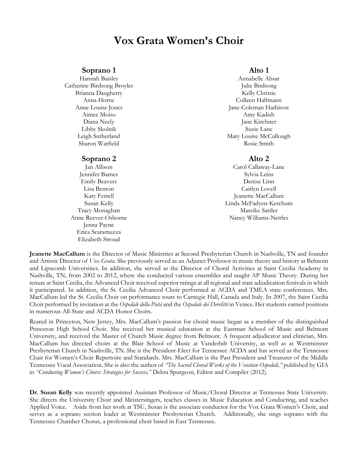## **Vox Grata Women's Choir**

#### **Soprano 1**

Hannah Baisley Catherine Birdsong Broyles Brianna Daugherty Anna Horne Anne Louise Jones Aimee Moiso Diana Neely Libby Skolnik Leigh Sutherland Sharon Warfield

#### **Soprano 2**

Jan Allison Jennifer Barnes Emily Beavers Lisa Benton Katy Ferrell Susan Kelly Tracy Monaghan Anne Reever-Osborne Jenna Payne Erica Scaramuzza Elizabeth Stroud

## **Alto 1**

Annabelle Absar Julie Birdsong Kelly Christie Colleen Halfmann Jane-Coleman Harbison Amy Kadish Jane Kirchner Suzie Lane Mary Louise McCullough Rosie Smith

### **Alto 2**

Carol Callaway-Lane Sylvia Leins Denise Linn Caitlyn Lovell Jeanette MacCallum Linda McFadyen-Ketchum Mareike Sattler Nancy Williams-Nettles

**Jeanette MacCallum** is the Director of Music Ministries at Second Presbyterian Church in Nashville, TN and founder and Artistic Director of *Vox Grata.* She previously served as an Adjunct Professor in music theory and history at Belmont and Lipscomb Universities. In addition, she served as the Director of Choral Activities at Saint Cecilia Academy in Nashville, TN, from 2002 to 2012, where she conducted various ensembles and taught AP Music Theory. During her tenure at Saint Cecilia, the Advanced Choir received superior ratings at all regional and state adjudication festivals in which it participated. In addition, the St. Cecilia Advanced Choir performed at ACDA and TMEA state conferences. Mrs. MacCallum led the St. Cecilia Choir on performance tours to Carnegie Hall, Canada and Italy. In 2007, the Saint Cecilia Choir performed by invitation at the *Ospedale della Pietà* and the *Ospedale dei Derelitti* in Venice. Her students earned positions in numerous All-State and ACDA Honor Choirs.

Reared in Princeton, New Jersey, Mrs. MacCallum's passion for choral music began as a member of the distinguished Princeton High School Choir. She received her musical education at the Eastman School of Music and Belmont University, and received the Master of Church Music degree from Belmont. A frequent adjudicator and clinician, Mrs. MacCallum has directed choirs at the Blair School of Music at Vanderbilt University, as well as at Westminster Presbyterian Church in Nashville, TN. She is the President-Elect for Tennessee ACDA and has served as the Tennessee Chair for Women's Choir Repertoire and Standards. Mrs. MacCallum is the Past President and Treasurer of the Middle Tennessee Vocal Association. She is also the author of *"The Sacred Choral Works of the Venetian Ospedali,"* published by GIA in *"Conducting Women's Choirs: Strategies for Success,"* Debra Spurgeon, Editor and Compiler (2012).

**Dr. Susan Kelly** was recently appointed Assistant Professor of Music/Choral Director at Tennessee State University. She directs the University Choir and Meistersingers, teaches classes in Music Education and Conducting, and teaches Applied Voice. Aside from her work at TSU, Susan is the associate conductor for the Vox Grata Women's Choir, and serves as a soprano section leader at Westminster Presbyterian Church. Additionally, she sings soprano with the Tennessee Chamber Chorus, a professional choir based in East Tennessee.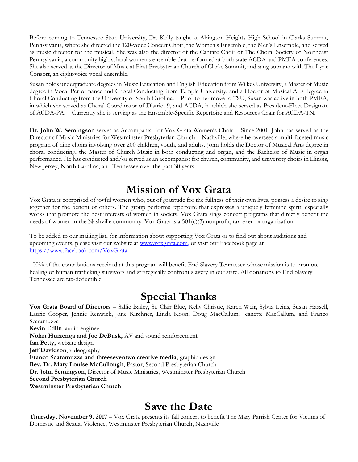Before coming to Tennessee State University, Dr. Kelly taught at Abington Heights High School in Clarks Summit, Pennsylvania, where she directed the 120-voice Concert Choir, the Women's Ensemble, the Men's Ensemble, and served as music director for the musical. She was also the director of the Cantare Choir of The Choral Society of Northeast Pennsylvania, a community high school women's ensemble that performed at both state ACDA and PMEA conferences. She also served as the Director of Music at First Presbyterian Church of Clarks Summit, and sang soprano with The Lyric Consort, an eight-voice vocal ensemble.

Susan holds undergraduate degrees in Music Education and English Education from Wilkes University, a Master of Music degree in Vocal Performance and Choral Conducting from Temple University, and a Doctor of Musical Arts degree in Choral Conducting from the University of South Carolina. Prior to her move to TSU, Susan was active in both PMEA, in which she served as Choral Coordinator of District 9, and ACDA, in which she served as President-Elect Designate of ACDA-PA. Currently she is serving as the Ensemble-Specific Repertoire and Resources Chair for ACDA-TN.

**Dr. John W. Semingson** serves as Accompanist for Vox Grata Women's Choir. Since 2001, John has served as the Director of Music Ministries for Westminster Presbyterian Church – Nashville, where he oversees a multi-faceted music program of nine choirs involving over 200 children, youth, and adults. John holds the Doctor of Musical Arts degree in choral conducting, the Master of Church Music in both conducting and organ, and the Bachelor of Music in organ performance. He has conducted and/or served as an accompanist for church, community, and university choirs in Illinois, New Jersey, North Carolina, and Tennessee over the past 30 years.

## **Mission of Vox Grata**

Vox Grata is comprised of joyful women who, out of gratitude for the fullness of their own lives, possess a desire to sing together for the benefit of others. The group performs repertoire that expresses a uniquely feminine spirit, especially works that promote the best interests of women in society. Vox Grata sings concert programs that directly benefit the needs of women in the Nashville community. Vox Grata is a 501(c)(3) nonprofit, tax-exempt organization.

To be added to our mailing list, for information about supporting Vox Grata or to find out about auditions and upcoming events, please visit our website at [www.voxgrata.com,](http://www.voxgrata.com/) or visit our Facebook page at [https://www.facebook.com/VoxGrata.](https://www.facebook.com/VoxGrata)

100% of the contributions received at this program will benefit End Slavery Tennessee whose mission is to promote healing of human trafficking survivors and strategically confront slavery in our state. All donations to End Slavery Tennessee are tax-deductible.

## **Special Thanks**

**Vox Grata Board of Directors** – Sallie Bailey, St. Clair Blue, Kelly Christie, Karen Weir, Sylvia Leins, Susan Hassell, Laurie Cooper, Jennie Renwick, Jane Kirchner, Linda Koon, Doug MacCallum, Jeanette MacCallum, and Franco Scaramuzza **Kevin Edlin**, audio engineer **Nolan Huizenga and Joe DeBusk,** AV and sound reinforcement **Ian Petty,** website design **Jeff Davidson**, videography **Franco Scaramuzza and threeseventwo creative media,** graphic design **Rev. Dr. Mary Louise McCullough**, Pastor, Second Presbyterian Church **Dr. John Semingson**, Director of Music Ministries, Westminster Presbyterian Church **Second Presbyterian Church**

**Westminster Presbyterian Church**

## **Save the Date**

**Thursday, November 9, 2017** – Vox Grata presents its fall concert to benefit The Mary Parrish Center for Victims of Domestic and Sexual Violence, Westminster Presbyterian Church, Nashville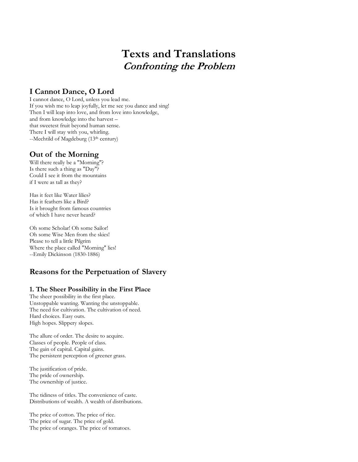## **Texts and Translations Confronting the Problem**

## **I Cannot Dance, O Lord**

I cannot dance, O Lord, unless you lead me. If you wish me to leap joyfully, let me see you dance and sing! Then I will leap into love, and from love into knowledge, and from knowledge into the harvest – that sweetest fruit beyond human sense. There I will stay with you, whirling. --Mechtild of Magdeburg (13<sup>th</sup> century)

## **Out of the Morning**

Will there really be a "Morning"? Is there such a thing as "Day"? Could I see it from the mountains if I were as tall as they?

Has it feet like Water lilies? Has it feathers like a Bird? Is it brought from famous countries of which I have never heard?

Oh some Scholar! Oh some Sailor! Oh some Wise Men from the skies! Please to tell a little Pilgrim Where the place called "Morning" lies! --Emily Dickinson (1830-1886)

## **Reasons for the Perpetuation of Slavery**

## **1. The Sheer Possibility in the First Place**

The sheer possibility in the first place. Unstoppable wanting. Wanting the unstoppable. The need for cultivation. The cultivation of need. Hard choices. Easy outs. High hopes. Slippery slopes.

The allure of order. The desire to acquire. Classes of people. People of class. The gain of capital. Capital gains. The persistent perception of greener grass.

The justification of pride. The pride of ownership. The ownership of justice.

The tidiness of titles. The convenience of caste. Distributions of wealth. A wealth of distributions.

The price of cotton. The price of rice. The price of sugar. The price of gold. The price of oranges. The price of tomatoes.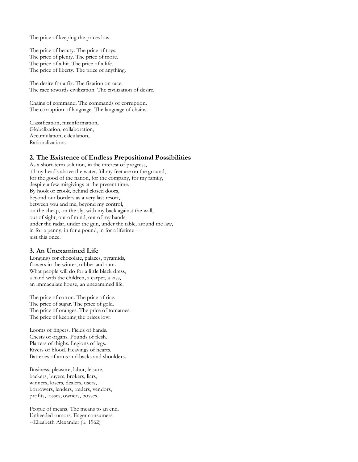The price of keeping the prices low.

The price of beauty. The price of toys. The price of plenty. The price of more. The price of a hit. The price of a life. The price of liberty. The price of anything.

The desire for a fix. The fixation on race. The race towards civilization. The civilization of desire.

Chains of command. The commands of corruption. The corruption of language. The language of chains.

Classification, misinformation, Globalization, collaboration, Accumulation, calculation, Rationalizations.

#### **2. The Existence of Endless Prepositional Possibilities**

As a short-term solution, in the interest of progress, 'til my head's above the water, 'til my feet are on the ground, for the good of the nation, for the company, for my family, despite a few misgivings at the present time. By hook or crook, behind closed doors, beyond our borders as a very last resort, between you and me, beyond my control, on the cheap, on the sly, with my back against the wall, out of sight, out of mind, out of my hands, under the radar, under the gun, under the table, around the law, in for a penny, in for a pound, in for a lifetime just this once.

#### **3. An Unexamined Life**

Longings for chocolate, palaces, pyramids, flowers in the winter, rubber and rum. What people will do for a little black dress, a hand with the children, a carpet, a kiss, an immaculate house, an unexamined life.

The price of cotton. The price of rice. The price of sugar. The price of gold. The price of oranges. The price of tomatoes. The price of keeping the prices low.

Looms of fingers. Fields of hands. Chests of organs. Pounds of flesh. Platters of thighs. Legions of legs. Rivers of blood. Heavings of hearts. Batteries of arms and backs and shoulders.

Business, pleasure, labor, leisure, backers, buyers, brokers, liars, winners, losers, dealers, users, borrowers, lenders, traders, vendors, profits, losses, owners, bosses.

People of means. The means to an end. Unheeded rumors. Eager consumers. --Elizabeth Alexander (b. 1962)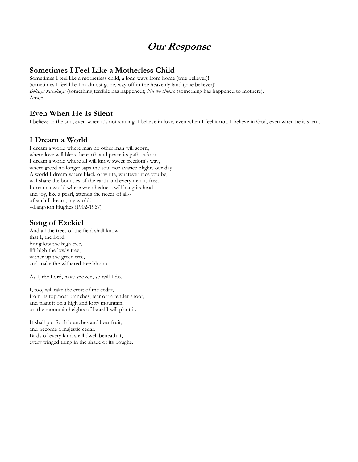## **Our Response**

## **Sometimes I Feel Like a Motherless Child**

Sometimes I feel like a motherless child, a long ways from home (true believer)! Sometimes I feel like I'm almost gone, way off in the heavenly land (true believer)! *Bokaya kayakaya* (something terrible has happened); *Nu wo vinowo* (something has happened to mothers). Amen.

## **Even When He Is Silent**

I believe in the sun, even when it's not shining. I believe in love, even when I feel it not. I believe in God, even when he is silent.

## **I Dream a World**

I dream a world where man no other man will scorn, where love will bless the earth and peace its paths adorn. I dream a world where all will know sweet freedom's way, where greed no longer saps the soul nor avarice blights our day. A world I dream where black or white, whatever race you be, will share the bounties of the earth and every man is free. I dream a world where wretchedness will hang its head and joy, like a pearl, attends the needs of all- of such I dream, my world! --Langston Hughes (1902-1967)

## **Song of Ezekiel**

And all the trees of the field shall know that I, the Lord, bring low the high tree, lift high the lowly tree, wither up the green tree, and make the withered tree bloom.

As I, the Lord, have spoken, so will I do.

I, too, will take the crest of the cedar, from its topmost branches, tear off a tender shoot, and plant it on a high and lofty mountain; on the mountain heights of Israel I will plant it.

It shall put forth branches and bear fruit, and become a majestic cedar. Birds of every kind shall dwell beneath it, every winged thing in the shade of its boughs.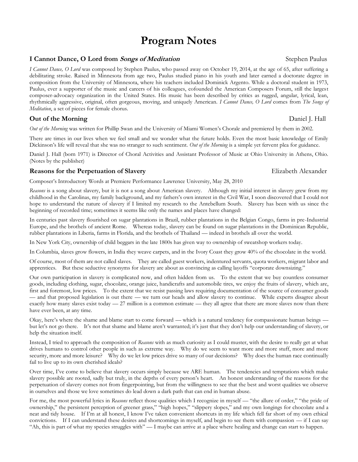## **Program Notes**

### **I Cannot Dance, O Lord from** *Songs of Meditation* **<b>Stephen Paulus** Stephen Paulus

*I Cannot Dance, O Lord* was composed by Stephen Paulus, who passed away on October 19, 2014, at the age of 65, after suffering a debilitating stroke. Raised in Minnesota from age two, Paulus studied piano in his youth and later earned a doctorate degree in composition from the University of Minnesota, where his teachers included Dominick Argento. While a doctoral student in 1973, Paulus, ever a supporter of the music and careers of his colleagues, cofounded the American Composers Forum, still the largest composer-advocacy organization in the United States. His music has been described by critics as rugged, angular, lyrical, lean, rhythmically aggressive, original, often gorgeous, moving, and uniquely American. *I Cannot Dance, O Lord* comes from *The Songs of Meditation*, a set of pieces for female chorus.

**Out of the Morning** Daniel J. Hall

*Out of the Morning* was written for Phillip Swan and the University of Miami Women's Chorale and premiered by them in 2002.

There are times in our lives when we feel small and we wonder what the future holds. Even the most basic knowledge of Emily Dickinson's life will reveal that she was no stranger to such sentiment. *Out of the Morning* is a simple yet fervent plea for guidance.

Daniel J. Hall (born 1971) is Director of Choral Activities and Assistant Professor of Music at Ohio University in Athens, Ohio. (Notes by the publisher)

#### **Reasons for the Perpetuation of Slavery and Subsetime Slavery Elizabeth Alexander**

Composer's Introductory Words at Premiere Performance Lawrence University, May 28, 2010

*Reasons* is a song about slavery, but it is not a song about American slavery. Although my initial interest in slavery grew from my childhood in the Carolinas, my family background, and my fathers's own interest in the Civil War, I soon discovered that I could not hope to understand the nature of slavery if I limited my research to the Antebellum South. Slavery has been with us since the beginning of recorded time; sometimes it seems like only the names and places have changed:

In centuries past slavery flourished on sugar plantations in Brazil, rubber plantations in the Belgian Congo, farms in pre-Industrial Europe, and the brothels of ancient Rome. Whereas today, slavery can be found on sugar plantations in the Dominican Republic, rubber plantations in Liberia, farms in Florida, and the brothels of Thailand — indeed in brothels all over the world.

In New York City, ownership of child beggars in the late 1800s has given way to ownership of sweatshop workers today.

In Columbia, slaves grow flowers, in India they weave carpets, and in the Ivory Coast they grow 40% of the chocolate in the world.

Of course, most of them are not called slaves. They are called guest workers, indentured servants, quota workers, migrant labor and apprentices. But these seductive synonyms for slavery are about as convincing as calling layoffs "corporate downsizing."

Our own participation in slavery is complicated now, and often hidden from us. To the extent that we buy countless consumer goods, including clothing, sugar, chocolate, orange juice, handicrafts and automobile tires, we enjoy the fruits of slavery, which are, first and foremost, low prices. To the extent that we resist passing laws requiring documentation of the source of consumer goods — and that proposed legislation is out there — we turn our heads and allow slavery to continue. While experts disagree about exactly how many slaves exist today — 27 million is a common estimate — they all agree that there are more slaves now than there have ever been, at any time.

Okay, here's where the shame and blame start to come forward — which is a natural tendency for compassionate human beings but let's not go there. It's not that shame and blame aren't warranted; it's just that they don't help our understanding of slavery, or help the situation itself.

Instead, I tried to approach the composition of *Reasons* with as much curiosity as I could muster, with the desire to really get at what drives humans to control other people in such as extreme way. Why do we seem to want more and more stuff, more and more security, more and more leisure? Why do we let low prices drive so many of our decisions? Why does the human race continually fail to live up to its own cherished ideals?

Over time, I've come to believe that slavery occurs simply because we ARE human. The tendencies and temptations which make slavery possible are rooted, sadly but truly, in the depths of every person's heart. An honest understanding of the reasons for the perpetuation of slavery comes not from fingerpointing, but from the willingness to see that the best and worst qualities we observe in ourselves and those we love sometimes do lead down a dark path that can end in human abuse.

For me, the most powerful lyrics in *Reasons* reflect those qualities which I recognize in myself — "the allure of order," "the pride of ownership," the persistent perception of greener grass," "high hopes," "slippery slopes," and my own longings for chocolate and a neat and tidy house. If I'm at all honest, I know I've taken convenient shortcuts in my life which fell far short of my own ethical convictions. If I can understand these desires and shortcomings in myself, and begin to see them with compassion — if I can say "Ah, this is part of what my species struggles with" — I maybe can arrive at a place where healing and change can start to happen.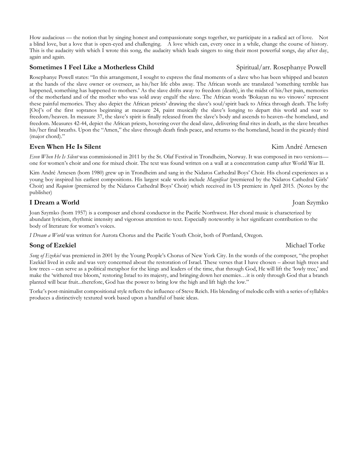### **Sometimes I Feel Like a Motherless Child Spiritual/arr. Rosephanye Powell**

Rosephanye Powell states: "In this arrangement, I sought to express the final moments of a slave who has been whipped and beaten at the hands of the slave owner or overseer, as his/her life ebbs away. The African words are translated 'something terrible has happened, something has happened to mothers.' As the slave drifts away to freedom (death), in the midst of his/her pain, memories of the motherland and of the mother who was sold away engulf the slave. The African words 'Bokayan nu wo vinowo' represent these painful memories. They also depict the African priests' drawing the slave's soul/spirit back to Africa through death. The lofty [Oo]'s of the first sopranos beginning at measure 24, paint musically the slave's longing to depart this world and soar to freedom/heaven. In measure 37, the slave's spirit is finally released from the slave's body and ascends to heaven–the homeland, and freedom. Measures 42-44, depict the African priests, hovering over the dead slave, delivering final rites in death, as the slave breathes his/her final breaths. Upon the "Amen," the slave through death finds peace, and returns to the homeland, heard in the picardy third (major chord)."

How audacious — the notion that by singing honest and compassionate songs together, we participate in a radical act of love. Not a blind love, but a love that is open-eyed and challenging. A love which can, every once in a while, change the course of history. This is the audacity with which I wrote this song, the audacity which leads singers to sing their most powerful songs, day after day,

### **Even When He Is Silent Kim André Arnesen**

again and again.

*Even When He Is Silent* was commissioned in 2011 by the St. Olaf Festival in Trondheim, Norway. It was composed in two versions one for women's choir and one for mixed choir. The text was found written on a wall at a concentration camp after World War II.

Kim André Arnesen (born 1980) grew up in Trondheim and sang in the Nidaros Cathedral Boys' Choir. His choral experiences as a young boy inspired his earliest compositions. His largest scale works include *Magnificat* (premiered by the Nidaros Cathedral Girls' Choir) and *Requiem* (premiered by the Nidaros Cathedral Boys' Choir) which received its US premiere in April 2015. (Notes by the publisher)

### **I Dream a World** Joan Szymko

Joan Szymko (born 1957) is a composer and choral conductor in the Pacific Northwest. Her choral music is characterized by abundant lyricism, rhythmic intensity and vigorous attention to text. Especially noteworthy is her significant contribution to the body of literature for women's voices.

*I Dream a World* was written for Aurora Chorus and the Pacific Youth Choir, both of Portland, Oregon.

## **Song of Ezekiel** Michael Torke

*Song of Ezekiel* was premiered in 2001 by the Young People's Chorus of New York City. In the words of the composer, "the prophet Ezekiel lived in exile and was very concerned about the restoration of Israel. These verses that I have chosen – about high trees and low trees – can serve as a political metaphor for the kings and leaders of the time, that through God, He will lift the 'lowly tree,' and make the 'withered tree bloom,' restoring Israel to its majesty, and bringing down her enemies…it is only through God that a branch planted will bear fruit...therefore, God has the power to bring low the high and lift high the low."

Torke's post-minimalist compositional style reflects the influence of Steve Reich. His blending of melodic cells with a series of syllables produces a distinctively textured work based upon a handful of basic ideas.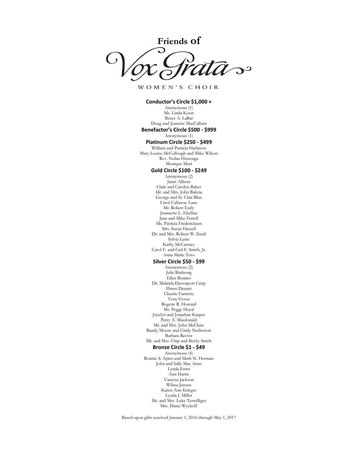**Friends of**  $\infty$ 

WOMEN'S CHOIR

**Conductor's Circle \$1,000 +** Anonymous (1) Ms. Linda Koon Bruce A. LaBar Doug and Jeanette MacCallum **Benefactor's Circle \$500 - \$999** Anonymous (1) **Platinum Circle \$250 - \$499** William and Patricia Harbison Mary Louise McCullough and Mike Wilson Rev. Nolan Huizenga Monique Muri **Gold Circle \$100 - \$249** Anonymous (2) Janet Allison Clark and Carolyn Baker Mr. and Mrs. John Balena George and St. Clair Blue Carol Callaway-Lane Mr. Robert Early Jeannette L. Ebelhar Jane and Mike Ferrell Ms. Patricia Fredericksen Mrs. Susan Hassell Dr. and Mrs. Robert W. Ikard Sylvia Leins Kathy McCartney Carol F. and Carl F. Smith, Jr. Anna Marie Toto **Silver Circle \$50 - \$99** Anonymous (2) Julie Birdsong Ellen Bonner Dr. Malinda Davenport Crisp Dawn Deaner Cherrie Farnette Tony Gosse Rogene R. Howard Ms. Peggy Hoyal Jocelyn and Jonathan Kasper Perry A. Macdonald Mr. and Mrs. John McClure Randy Moore and Cindy Netherton Barbara Rector Mr. and Mrs. Chip and Becky Smith **Bronze Circle \$1 - \$49** Anonymous (4) Ronnie S. Apter and Mark N. Herman John and Sally Mae Arnn Lynda Ernst Ann Harris Vanessa Jackson Wilma Jensen Karen Ann Krieger Lynda J. Miller Mr. and Mrs. Luke Terwilliger Mrs. Diane Wyckoff

Based upon gifts received January 1, 2016 through May 1, 2017